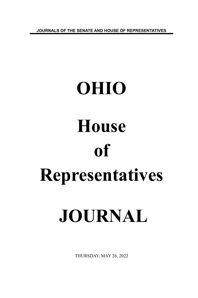**JOURNALS OF THE SENATE AND HOUSE OF REPRESENTATIVES**

# **OHIO House of Representatives JOURNAL**

THURSDAY, MAY 26, 2022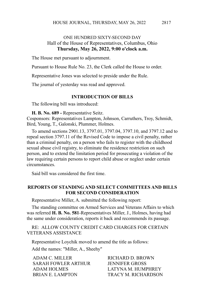2817

# ONE HUNDRED SIXTY-SECOND DAY Hall of the House of Representatives, Columbus, Ohio **Thursday, May 26, 2022, 9:00 o'clock a.m.**

The House met pursuant to adjournment.

Pursuant to House Rule No. 23, the Clerk called the House to order.

Representative Jones was selected to preside under the Rule.

The journal of yesterday was read and approved.

#### **INTRODUCTION OF BILLS**

The following bill was introduced:

**H. B. No. 689 -** Representative Seitz.

Cosponsors: Representatives Lampton, Johnson, Carruthers, Troy, Schmidt, Bird, Young, T., Galonski, Plummer, Holmes.

To amend sections 2901.13, 3797.01, 3797.04, 3797.10, and 3797.12 and to repeal section 3797.11 of the Revised Code to impose a civil penalty, rather than a criminal penalty, on a person who fails to register with the childhood sexual abuse civil registry, to eliminate the residence restriction on such person, and to extend the limitation period for prosecuting a violation of the law requiring certain persons to report child abuse or neglect under certain circumstances.

Said bill was considered the first time.

#### **REPORTS OF STANDING AND SELECT COMMITTEES AND BILLS FOR SECOND CONSIDERATION**

Representative Miller, A. submitted the following report:

The standing committee on Armed Services and Veterans Affairs to which was referred **H. B. No. 581**-Representatives Miller, J., Holmes, having had the same under consideration, reports it back and recommends its passage.

RE: ALLOW COUNTY CREDIT CARD CHARGES FOR CERTAIN VETERANS ASSISTANCE

Representative Loychik moved to amend the title as follows:

Add the names: "Miller, A., Sheehy"

| ADAM C. MILLER      | RICHARD D. BROWN      |
|---------------------|-----------------------|
| SARAH FOWLER ARTHUR | <b>JENNIFER GROSS</b> |
| ADAM HOLMES         | LATYNA M. HUMPHREY    |
| BRIAN E. LAMPTON    | TRACY M. RICHARDSON   |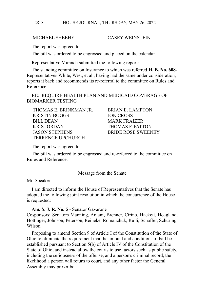## MICHAEL SHEEHY CASEY WEINSTEIN

The report was agreed to.

The bill was ordered to be engrossed and placed on the calendar.

Representative Miranda submitted the following report:

The standing committee on Insurance to which was referred **H. B. No. 608**- Representatives White, West, et al., having had the same under consideration, reports it back and recommends its re-referral to the committee on Rules and Reference.

RE: REQUIRE HEALTH PLAN AND MEDICAID COVERAGE OF BIOMARKER TESTING

THOMAS E. BRINKMAN JR. BRIAN E. LAMPTON KRISTIN BOGGS JON CROSS BILL DEAN MARK FRAIZER KRIS JORDAN THOMAS F. PATTON JASON STEPHENS BRIDE ROSE SWEENEY TERRENCE UPCHURCH

The report was agreed to.

The bill was ordered to be engrossed and re-referred to the committee on Rules and Reference.

Message from the Senate

Mr. Speaker:

I am directed to inform the House of Representatives that the Senate has adopted the following joint resolution in which the concurrence of the House is requested:

**Am. S. J. R. No. 5** - Senator Gavarone

Cosponsors: Senators Manning, Antani, Brenner, Cirino, Hackett, Hoagland, Hottinger, Johnson, Peterson, Reineke, Romanchuk, Rulli, Schaffer, Schuring, Wilson

Proposing to amend Section 9 of Article I of the Constitution of the State of Ohio to eliminate the requirement that the amount and conditions of bail be established pursuant to Section 5(b) of Article IV of the Constitution of the State of Ohio, and instead allow the courts to use factors such as public safety, including the seriousness of the offense, and a person's criminal record, the likelihood a person will return to court, and any other factor the General Assembly may prescribe.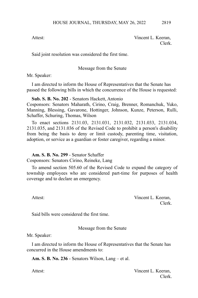Attest: Vincent L. Keeran, Clerk.

Said joint resolution was considered the first time.

## Message from the Senate

Mr. Speaker:

I am directed to inform the House of Representatives that the Senate has passed the following bills in which the concurrence of the House is requested:

## **Sub. S. B. No. 202** - Senators Hackett, Antonio

Cosponsors: Senators Maharath, Cirino, Craig, Brenner, Romanchuk, Yuko, Manning, Blessing, Gavarone, Hottinger, Johnson, Kunze, Peterson, Rulli, Schaffer, Schuring, Thomas, Wilson

To enact sections 2131.03, 2131.031, 2131.032, 2131.033, 2131.034, 2131.035, and 2131.036 of the Revised Code to prohibit a person's disability from being the basis to deny or limit custody, parenting time, visitation, adoption, or service as a guardian or foster caregiver, regarding a minor.

# **Am. S. B. No. 299** - Senator Schaffer

Cosponsors: Senators Cirino, Reineke, Lang

To amend section 505.60 of the Revised Code to expand the category of township employees who are considered part-time for purposes of health coverage and to declare an emergency.

Attest: Vincent L. Keeran, Clerk.

Said bills were considered the first time.

Message from the Senate

Mr. Speaker:

I am directed to inform the House of Representatives that the Senate has concurred in the House amendments to:

**Am. S. B. No. 236** - Senators Wilson, Lang – et al.

Attest: Vincent L. Keeran, Clerk.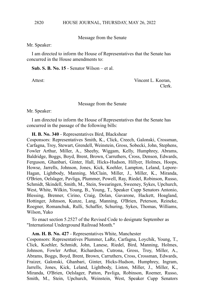Message from the Senate

Mr. Speaker:

I am directed to inform the House of Representatives that the Senate has concurred in the House amendments to:

**Sub. S. B. No. 15** - Senator Wilson – et al.

Attest: Vincent L. Keeran, Clerk.

#### Message from the Senate

Mr. Speaker:

I am directed to inform the House of Representatives that the Senate has concurred in the passage of the following bills:

**H. B. No. 340** - Representatives Bird, Blackshear

Cosponsors: Representatives Smith, K., Click, Creech, Galonski, Crossman, Carfagna, Troy, Stewart, Grendell, Weinstein, Gross, Sobecki, John, Stephens, Fowler Arthur, Miller, A., Sheehy, Wiggam, Kelly, Humphrey, Abrams, Baldridge, Boggs, Boyd, Brent, Brown, Carruthers, Cross, Denson, Edwards, Ferguson, Ghanbari, Ginter, Hall, Hicks-Hudson, Hillyer, Holmes, Hoops, Howse, Jarrells, Johnson, Jones, Kick, Koehler, Lampton, Leland, Lepore-Hagan, Lightbody, Manning, McClain, Miller, J., Miller, K., Miranda, O'Brien, Oelslager, Pavliga, Plummer, Powell, Ray, Riedel, Robinson, Russo, Schmidt, Skindell, Smith, M., Stein, Swearingen, Sweeney, Sykes, Upchurch, West, White, Wilkin, Young, B., Young, T., Speaker Cupp Senators Antonio, Blessing, Brenner, Cirino, Craig, Dolan, Gavarone, Hackett, Hoagland, Hottinger, Johnson, Kunze, Lang, Manning, O'Brien, Peterson, Reineke, Roegner, Romanchuk, Rulli, Schaffer, Schuring, Sykes, Thomas, Williams, Wilson, Yuko

To enact section 5.2527 of the Revised Code to designate September as "International Underground Railroad Month."

# **Am. H. B. No. 427** - Representatives White, Manchester

Cosponsors: Representatives Plummer, LaRe, Carfagna, Loychik, Young, T., Click, Koehler, Schmidt, John, Lanese, Riedel, Bird, Manning, Holmes, Johnson, Fowler Arthur, Richardson, Cutrona, Gross, Troy, Miller, A., Abrams, Boggs, Boyd, Brent, Brown, Carruthers, Cross, Crossman, Edwards, Fraizer, Galonski, Ghanbari, Ginter, Hicks-Hudson, Humphrey, Ingram, Jarrells, Jones, Kick, Leland, Lightbody, Liston, Miller, J., Miller, K., Miranda, O'Brien, Oelslager, Patton, Pavliga, Robinson, Roemer, Russo, Smith, M., Stein, Upchurch, Weinstein, West, Speaker Cupp Senators